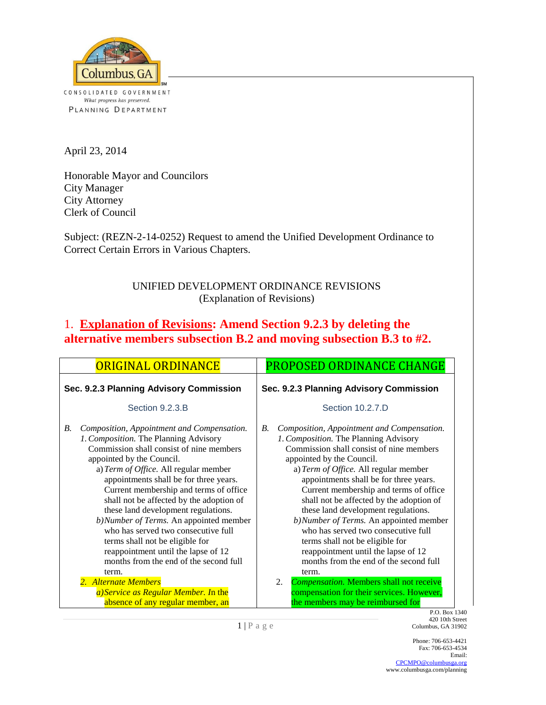

CONSOLIDATED GOVERNMENT What progress has preserved. PLANNING DEPARTMENT

April 23, 2014

Honorable Mayor and Councilors City Manager City Attorney Clerk of Council

Subject: (REZN-2-14-0252) Request to amend the Unified Development Ordinance to Correct Certain Errors in Various Chapters.

### UNIFIED DEVELOPMENT ORDINANCE REVISIONS (Explanation of Revisions)

### 1. **Explanation of Revisions: Amend Section 9.2.3 by deleting the alternative members subsection B.2 and moving subsection B.3 to #2.**

| <b>ORIGINAL ORDINANCE</b>                                                                                                                                                                                                                                                                                                                                                                                                                                                                                                                                                                        | PROPOSED ORDINANCE CHANGE                                                                                                                                                                                                                                                                                                                                                                                                                                                                                                                                                                        |  |  |  |  |
|--------------------------------------------------------------------------------------------------------------------------------------------------------------------------------------------------------------------------------------------------------------------------------------------------------------------------------------------------------------------------------------------------------------------------------------------------------------------------------------------------------------------------------------------------------------------------------------------------|--------------------------------------------------------------------------------------------------------------------------------------------------------------------------------------------------------------------------------------------------------------------------------------------------------------------------------------------------------------------------------------------------------------------------------------------------------------------------------------------------------------------------------------------------------------------------------------------------|--|--|--|--|
| Sec. 9.2.3 Planning Advisory Commission                                                                                                                                                                                                                                                                                                                                                                                                                                                                                                                                                          | Sec. 9.2.3 Planning Advisory Commission                                                                                                                                                                                                                                                                                                                                                                                                                                                                                                                                                          |  |  |  |  |
| Section 9.2.3.B                                                                                                                                                                                                                                                                                                                                                                                                                                                                                                                                                                                  | Section 10.2.7.D                                                                                                                                                                                                                                                                                                                                                                                                                                                                                                                                                                                 |  |  |  |  |
| Composition, Appointment and Compensation.<br>В.<br>1. Composition. The Planning Advisory<br>Commission shall consist of nine members<br>appointed by the Council.<br>a) Term of Office. All regular member<br>appointments shall be for three years.<br>Current membership and terms of office<br>shall not be affected by the adoption of<br>these land development regulations.<br>b)Number of Terms. An appointed member<br>who has served two consecutive full<br>terms shall not be eligible for<br>reappointment until the lapse of 12<br>months from the end of the second full<br>term. | В.<br>Composition, Appointment and Compensation.<br>1. Composition. The Planning Advisory<br>Commission shall consist of nine members<br>appointed by the Council.<br>a) Term of Office. All regular member<br>appointments shall be for three years.<br>Current membership and terms of office<br>shall not be affected by the adoption of<br>these land development regulations.<br>b)Number of Terms. An appointed member<br>who has served two consecutive full<br>terms shall not be eligible for<br>reappointment until the lapse of 12<br>months from the end of the second full<br>term. |  |  |  |  |
| 2. Alternate Members                                                                                                                                                                                                                                                                                                                                                                                                                                                                                                                                                                             | 2.<br><b>Compensation. Members shall not receive</b>                                                                                                                                                                                                                                                                                                                                                                                                                                                                                                                                             |  |  |  |  |
| a) Service as Regular Member. In the<br>absence of any regular member, an                                                                                                                                                                                                                                                                                                                                                                                                                                                                                                                        | compensation for their services. However,<br>the members may be reimbursed for<br>P.O. Box 1340                                                                                                                                                                                                                                                                                                                                                                                                                                                                                                  |  |  |  |  |

420 10th Street Columbus, GA 31902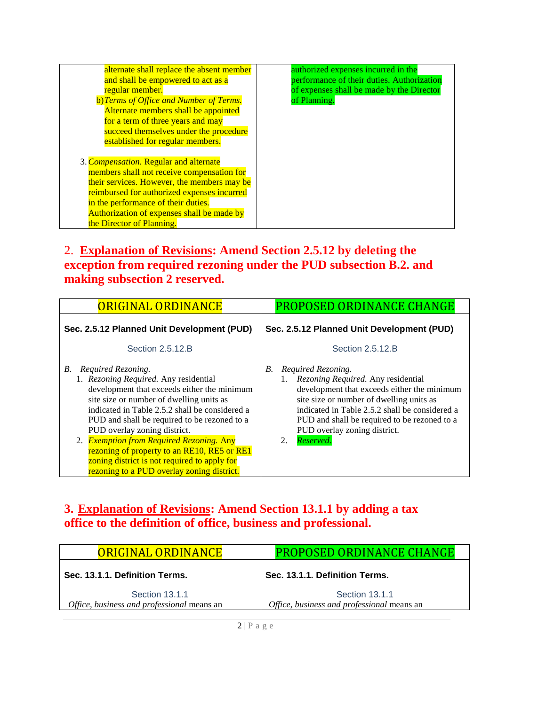| alternate shall replace the absent member   | authorized expenses incurred in the        |
|---------------------------------------------|--------------------------------------------|
| and shall be empowered to act as a          | performance of their duties. Authorization |
| regular member.                             | of expenses shall be made by the Director  |
| b) Terms of Office and Number of Terms.     | of Planning.                               |
| Alternate members shall be appointed        |                                            |
| for a term of three years and may           |                                            |
| succeed themselves under the procedure      |                                            |
| established for regular members.            |                                            |
|                                             |                                            |
| 3. Compensation. Regular and alternate      |                                            |
| members shall not receive compensation for  |                                            |
| their services. However, the members may be |                                            |
| reimbursed for authorized expenses incurred |                                            |
| in the performance of their duties.         |                                            |
| Authorization of expenses shall be made by  |                                            |
| the Director of Planning.                   |                                            |
|                                             |                                            |

### 2. **Explanation of Revisions: Amend Section 2.5.12 by deleting the exception from required rezoning under the PUD subsection B.2. and making subsection 2 reserved.**

| <b>ORIGINAL ORDINANCE</b>                                                                                                                                                                                                                                                                                                                                                                                                                                                               | PROPOSED ORDINANCE CHANGE                                                                                                                                                                                                                                                                                                 |  |  |  |  |
|-----------------------------------------------------------------------------------------------------------------------------------------------------------------------------------------------------------------------------------------------------------------------------------------------------------------------------------------------------------------------------------------------------------------------------------------------------------------------------------------|---------------------------------------------------------------------------------------------------------------------------------------------------------------------------------------------------------------------------------------------------------------------------------------------------------------------------|--|--|--|--|
| Sec. 2.5.12 Planned Unit Development (PUD)                                                                                                                                                                                                                                                                                                                                                                                                                                              | Sec. 2.5.12 Planned Unit Development (PUD)                                                                                                                                                                                                                                                                                |  |  |  |  |
| Section 2.5.12.B                                                                                                                                                                                                                                                                                                                                                                                                                                                                        | Section 2.5.12.B                                                                                                                                                                                                                                                                                                          |  |  |  |  |
| Required Rezoning.<br>В.<br>1. Rezoning Required. Any residential<br>development that exceeds either the minimum<br>site size or number of dwelling units as<br>indicated in Table 2.5.2 shall be considered a<br>PUD and shall be required to be rezoned to a<br>PUD overlay zoning district.<br>2. Exemption from Required Rezoning. Any<br>rezoning of property to an RE10, RE5 or RE1<br>zoning district is not required to apply for<br>rezoning to a PUD overlay zoning district. | Required Rezoning.<br><i>B</i> .<br>1. Rezoning Required. Any residential<br>development that exceeds either the minimum<br>site size or number of dwelling units as<br>indicated in Table 2.5.2 shall be considered a<br>PUD and shall be required to be rezoned to a<br>PUD overlay zoning district.<br>Reserved.<br>2. |  |  |  |  |

# **3. Explanation of Revisions: Amend Section 13.1.1 by adding a tax office to the definition of office, business and professional.**

| <b>ORIGINAL ORDINANCE</b>                                    | <b>PROPOSED ORDINANCE CHANGE</b>                             |
|--------------------------------------------------------------|--------------------------------------------------------------|
| Sec. 13.1.1. Definition Terms.                               | Sec. 13.1.1. Definition Terms.                               |
| Section 13.1.1<br>Office, business and professional means an | Section 13.1.1<br>Office, business and professional means an |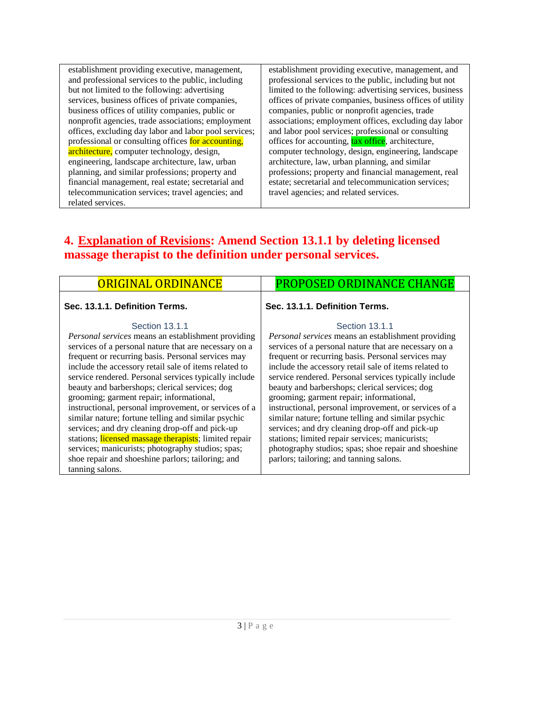establishment providing executive, management, and professional services to the public, including but not limited to the following: advertising services, business offices of private companies, business offices of utility companies, public or nonprofit agencies, trade associations; employment offices, excluding day labor and labor pool services; professional or consulting offices for accounting, architecture, computer technology, design, engineering, landscape architecture, law, urban planning, and similar professions; property and financial management, real estate; secretarial and telecommunication services; travel agencies; and related services.

establishment providing executive, management, and professional services to the public, including but not limited to the following: advertising services, business offices of private companies, business offices of utility companies, public or nonprofit agencies, trade associations; employment offices, excluding day labor and labor pool services; professional or consulting offices for accounting, tax office, architecture, computer technology, design, engineering, landscape architecture, law, urban planning, and similar professions; property and financial management, real estate; secretarial and telecommunication services; travel agencies; and related services.

# **4. Explanation of Revisions: Amend Section 13.1.1 by deleting licensed massage therapist to the definition under personal services.**

### **Sec. 13.1.1. Definition Terms.**

#### Section 13.1.1

*Personal services* means an establishment providing services of a personal nature that are necessary on a frequent or recurring basis. Personal services may include the accessory retail sale of items related to service rendered. Personal services typically include beauty and barbershops; clerical services; dog grooming; garment repair; informational, instructional, personal improvement, or services of a similar nature; fortune telling and similar psychic services; and dry cleaning drop-off and pick-up stations; licensed massage therapists; limited repair services; manicurists; photography studios; spas; shoe repair and shoeshine parlors; tailoring; and tanning salons.

### ORIGINAL ORDINANCE | PROPOSED ORDINANCE CHANGE

### **Sec. 13.1.1. Definition Terms.**

#### Section 13.1.1

*Personal services* means an establishment providing services of a personal nature that are necessary on a frequent or recurring basis. Personal services may include the accessory retail sale of items related to service rendered. Personal services typically include beauty and barbershops; clerical services; dog grooming; garment repair; informational, instructional, personal improvement, or services of a similar nature; fortune telling and similar psychic services; and dry cleaning drop-off and pick-up stations; limited repair services; manicurists; photography studios; spas; shoe repair and shoeshine parlors; tailoring; and tanning salons.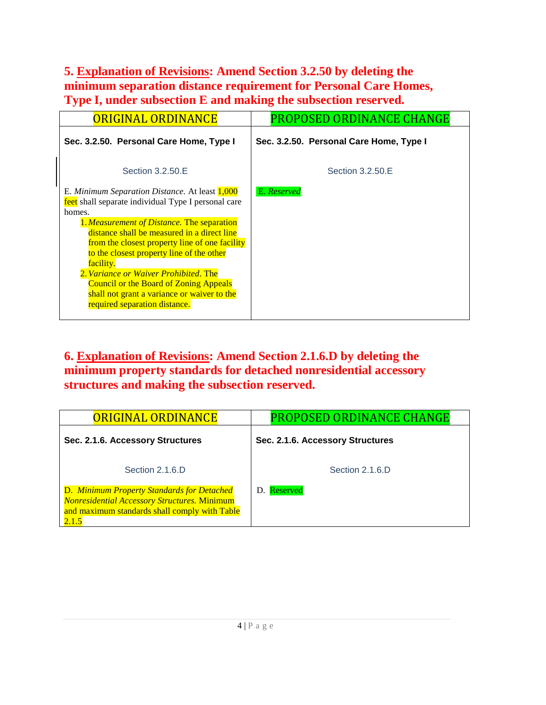# **5. Explanation of Revisions: Amend Section 3.2.50 by deleting the minimum separation distance requirement for Personal Care Homes, Type I, under subsection E and making the subsection reserved.**

| <b>ORIGINAL ORDINANCE</b>                                                                                                                                                                                                                                                                                                                                                                                                                                                                          | <b>PROPOSED ORDINANCE CHANGE</b>        |
|----------------------------------------------------------------------------------------------------------------------------------------------------------------------------------------------------------------------------------------------------------------------------------------------------------------------------------------------------------------------------------------------------------------------------------------------------------------------------------------------------|-----------------------------------------|
| Sec. 3.2.50. Personal Care Home, Type I                                                                                                                                                                                                                                                                                                                                                                                                                                                            | Sec. 3.2.50. Personal Care Home, Type I |
| Section 3.2.50.E                                                                                                                                                                                                                                                                                                                                                                                                                                                                                   | Section 3.2.50.E                        |
| E. Minimum Separation Distance. At least 1,000<br>feet shall separate individual Type I personal care<br>homes.<br>1. Measurement of Distance. The separation<br>distance shall be measured in a direct line<br>from the closest property line of one facility<br>to the closest property line of the other<br>facility.<br>2. Variance or Waiver Prohibited. The<br><b>Council or the Board of Zoning Appeals</b><br>shall not grant a variance or waiver to the<br>required separation distance. | E. Reserved                             |

### **6. Explanation of Revisions: Amend Section 2.1.6.D by deleting the minimum property standards for detached nonresidential accessory structures and making the subsection reserved.**

| <b>ORIGINAL ORDINANCE</b>                                                                                                                                   | <b>PROPOSED ORDINANCE CHANGE</b> |  |  |  |  |
|-------------------------------------------------------------------------------------------------------------------------------------------------------------|----------------------------------|--|--|--|--|
| Sec. 2.1.6. Accessory Structures                                                                                                                            | Sec. 2.1.6. Accessory Structures |  |  |  |  |
| Section 2.1.6.D                                                                                                                                             | Section 2.1.6.D                  |  |  |  |  |
| D. Minimum Property Standards for Detached<br><b>Nonresidential Accessory Structures. Minimum</b><br>and maximum standards shall comply with Table<br>2.1.5 | Reserved<br>D.                   |  |  |  |  |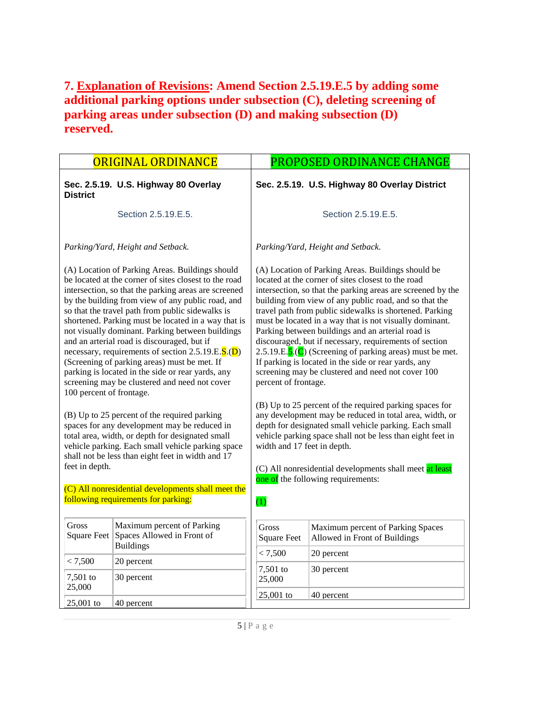### **7. Explanation of Revisions: Amend Section 2.5.19.E.5 by adding some additional parking options under subsection (C), deleting screening of parking areas under subsection (D) and making subsection (D) reserved.**

|                                                                                           | <b>ORIGINAL ORDINANCE</b>                                                                                                                                                                                                                                                                                                                                                                                                                                                                                                                                                                                                                                                                                                                                                                                                                               | PROPOSED ORDINANCE CHANGE                                                                                                                                                                                                                                                                                                                                                                                                                                                                                                                                                                                                                                                                                                                                                                                                                                                                                             |                                                                    |  |  |  |  |
|-------------------------------------------------------------------------------------------|---------------------------------------------------------------------------------------------------------------------------------------------------------------------------------------------------------------------------------------------------------------------------------------------------------------------------------------------------------------------------------------------------------------------------------------------------------------------------------------------------------------------------------------------------------------------------------------------------------------------------------------------------------------------------------------------------------------------------------------------------------------------------------------------------------------------------------------------------------|-----------------------------------------------------------------------------------------------------------------------------------------------------------------------------------------------------------------------------------------------------------------------------------------------------------------------------------------------------------------------------------------------------------------------------------------------------------------------------------------------------------------------------------------------------------------------------------------------------------------------------------------------------------------------------------------------------------------------------------------------------------------------------------------------------------------------------------------------------------------------------------------------------------------------|--------------------------------------------------------------------|--|--|--|--|
| <b>District</b>                                                                           | Sec. 2.5.19. U.S. Highway 80 Overlay                                                                                                                                                                                                                                                                                                                                                                                                                                                                                                                                                                                                                                                                                                                                                                                                                    | Sec. 2.5.19. U.S. Highway 80 Overlay District                                                                                                                                                                                                                                                                                                                                                                                                                                                                                                                                                                                                                                                                                                                                                                                                                                                                         |                                                                    |  |  |  |  |
|                                                                                           | Section 2.5.19.E.5.                                                                                                                                                                                                                                                                                                                                                                                                                                                                                                                                                                                                                                                                                                                                                                                                                                     | Section 2.5.19.E.5.                                                                                                                                                                                                                                                                                                                                                                                                                                                                                                                                                                                                                                                                                                                                                                                                                                                                                                   |                                                                    |  |  |  |  |
|                                                                                           | Parking/Yard, Height and Setback.                                                                                                                                                                                                                                                                                                                                                                                                                                                                                                                                                                                                                                                                                                                                                                                                                       | Parking/Yard, Height and Setback.                                                                                                                                                                                                                                                                                                                                                                                                                                                                                                                                                                                                                                                                                                                                                                                                                                                                                     |                                                                    |  |  |  |  |
| 100 percent of frontage.                                                                  | (A) Location of Parking Areas. Buildings should<br>be located at the corner of sites closest to the road<br>intersection, so that the parking areas are screened<br>by the building from view of any public road, and<br>so that the travel path from public sidewalks is<br>shortened. Parking must be located in a way that is<br>not visually dominant. Parking between buildings<br>and an arterial road is discouraged, but if<br>necessary, requirements of section 2.5.19.E.S.(D)<br>(Screening of parking areas) must be met. If<br>parking is located in the side or rear yards, any<br>screening may be clustered and need not cover<br>(B) Up to 25 percent of the required parking<br>spaces for any development may be reduced in<br>total area, width, or depth for designated small<br>vehicle parking. Each small vehicle parking space | (A) Location of Parking Areas. Buildings should be<br>located at the corner of sites closest to the road<br>intersection, so that the parking areas are screened by the<br>building from view of any public road, and so that the<br>travel path from public sidewalks is shortened. Parking<br>must be located in a way that is not visually dominant.<br>Parking between buildings and an arterial road is<br>discouraged, but if necessary, requirements of section<br>2.5.19.E.5.(C) (Screening of parking areas) must be met.<br>If parking is located in the side or rear yards, any<br>screening may be clustered and need not cover 100<br>percent of frontage.<br>(B) Up to 25 percent of the required parking spaces for<br>any development may be reduced in total area, width, or<br>depth for designated small vehicle parking. Each small<br>vehicle parking space shall not be less than eight feet in |                                                                    |  |  |  |  |
| feet in depth.                                                                            | shall not be less than eight feet in width and 17                                                                                                                                                                                                                                                                                                                                                                                                                                                                                                                                                                                                                                                                                                                                                                                                       | (C) All nonresidential developments shall meet at least<br>one of the following requirements:                                                                                                                                                                                                                                                                                                                                                                                                                                                                                                                                                                                                                                                                                                                                                                                                                         |                                                                    |  |  |  |  |
| (C) All nonresidential developments shall meet the<br>following requirements for parking: |                                                                                                                                                                                                                                                                                                                                                                                                                                                                                                                                                                                                                                                                                                                                                                                                                                                         | (1)                                                                                                                                                                                                                                                                                                                                                                                                                                                                                                                                                                                                                                                                                                                                                                                                                                                                                                                   |                                                                    |  |  |  |  |
| Gross<br>Square Feet                                                                      | Maximum percent of Parking<br>Spaces Allowed in Front of<br><b>Buildings</b>                                                                                                                                                                                                                                                                                                                                                                                                                                                                                                                                                                                                                                                                                                                                                                            | <b>Gross</b><br><b>Square Feet</b>                                                                                                                                                                                                                                                                                                                                                                                                                                                                                                                                                                                                                                                                                                                                                                                                                                                                                    | Maximum percent of Parking Spaces<br>Allowed in Front of Buildings |  |  |  |  |
| < 7,500                                                                                   | 20 percent                                                                                                                                                                                                                                                                                                                                                                                                                                                                                                                                                                                                                                                                                                                                                                                                                                              | < 7,500                                                                                                                                                                                                                                                                                                                                                                                                                                                                                                                                                                                                                                                                                                                                                                                                                                                                                                               | 20 percent                                                         |  |  |  |  |
| 7,501 to<br>25,000                                                                        | 30 percent                                                                                                                                                                                                                                                                                                                                                                                                                                                                                                                                                                                                                                                                                                                                                                                                                                              | 7,501 to<br>25,000                                                                                                                                                                                                                                                                                                                                                                                                                                                                                                                                                                                                                                                                                                                                                                                                                                                                                                    | 30 percent                                                         |  |  |  |  |
| 25,001 to                                                                                 | 40 percent                                                                                                                                                                                                                                                                                                                                                                                                                                                                                                                                                                                                                                                                                                                                                                                                                                              | $25,001$ to<br>40 percent                                                                                                                                                                                                                                                                                                                                                                                                                                                                                                                                                                                                                                                                                                                                                                                                                                                                                             |                                                                    |  |  |  |  |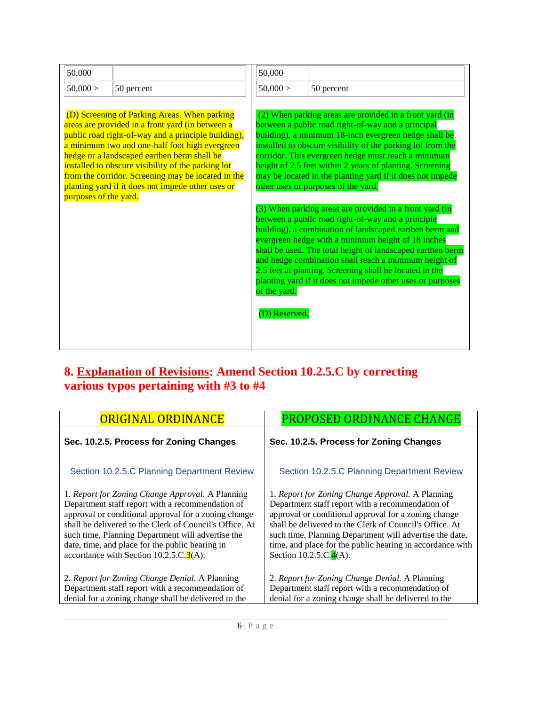| 50,000                |                                                                                                                                                                                                                                                                                                                                                                                                                           | 50,000                        |                                                                                                                                                                                                                                                                                                                                                                                                                                                                                                                                                                                                                                                                                                                                                                                                                                                                                                                                                |
|-----------------------|---------------------------------------------------------------------------------------------------------------------------------------------------------------------------------------------------------------------------------------------------------------------------------------------------------------------------------------------------------------------------------------------------------------------------|-------------------------------|------------------------------------------------------------------------------------------------------------------------------------------------------------------------------------------------------------------------------------------------------------------------------------------------------------------------------------------------------------------------------------------------------------------------------------------------------------------------------------------------------------------------------------------------------------------------------------------------------------------------------------------------------------------------------------------------------------------------------------------------------------------------------------------------------------------------------------------------------------------------------------------------------------------------------------------------|
| 50,000 >              | 50 percent                                                                                                                                                                                                                                                                                                                                                                                                                | 50,000 >                      | 50 percent                                                                                                                                                                                                                                                                                                                                                                                                                                                                                                                                                                                                                                                                                                                                                                                                                                                                                                                                     |
| purposes of the yard. | (D) Screening of Parking Areas. When parking<br>areas are provided in a front yard (in between a<br>public road right-of-way and a principle building),<br>a minimum two and one-half foot high evergreen<br>hedge or a landscaped earthen berm shall be<br>installed to obscure visibility of the parking lot<br>from the corridor. Screening may be located in the<br>planting yard if it does not impede other uses or | of the yard.<br>(D) Reserved. | (2) When parking areas are provided in a front yard (in<br>between a public road right-of-way and a principal<br>building), a minimum 18-inch evergreen hedge shall be<br>installed to obscure visibility of the parking lot from the<br>corridor. This evergreen hedge must reach a minimum<br>height of 2.5 feet within 2 years of planting. Screening<br>may be located in the planting yard if it does not impede<br>other uses or purposes of the yard.<br>(3) When parking areas are provided in a front yard (in<br>between a public road right-of-way and a principle<br>building), a combination of landscaped earthen berm and<br>evergreen hedge with a minimum height of 18 inches<br>shall be used. The total height of landscaped earthen berm<br>and hedge combination shall reach a minimum height of<br>2.5 feet at planting. Screening shall be located in the<br>planting yard if it does not impede other uses or purposes |

### **8. Explanation of Revisions: Amend Section 10.2.5.C by correcting various typos pertaining with #3 to #4**

| <b>ORIGINAL ORDINANCE</b>                                                                                                                                                                                                                                                                                                                                                              | PROPOSED ORDINANCE CHANGE                                                                                                                                                                                                                                                                                                                                                               |  |  |  |  |  |
|----------------------------------------------------------------------------------------------------------------------------------------------------------------------------------------------------------------------------------------------------------------------------------------------------------------------------------------------------------------------------------------|-----------------------------------------------------------------------------------------------------------------------------------------------------------------------------------------------------------------------------------------------------------------------------------------------------------------------------------------------------------------------------------------|--|--|--|--|--|
| Sec. 10.2.5. Process for Zoning Changes                                                                                                                                                                                                                                                                                                                                                | Sec. 10.2.5. Process for Zoning Changes                                                                                                                                                                                                                                                                                                                                                 |  |  |  |  |  |
| Section 10.2.5.C Planning Department Review                                                                                                                                                                                                                                                                                                                                            | Section 10.2.5.C Planning Department Review                                                                                                                                                                                                                                                                                                                                             |  |  |  |  |  |
| 1. Report for Zoning Change Approval. A Planning<br>Department staff report with a recommendation of<br>approval or conditional approval for a zoning change<br>shall be delivered to the Clerk of Council's Office. At<br>such time, Planning Department will advertise the<br>date, time, and place for the public hearing in<br>accordance with Section 10.2.5.C. $\mathbf{3}(A)$ . | 1. Report for Zoning Change Approval. A Planning<br>Department staff report with a recommendation of<br>approval or conditional approval for a zoning change<br>shall be delivered to the Clerk of Council's Office. At<br>such time, Planning Department will advertise the date,<br>time, and place for the public hearing in accordance with<br>Section 10.2.5.C. $\frac{4}{A(A)}$ . |  |  |  |  |  |
| 2. Report for Zoning Change Denial. A Planning<br>Department staff report with a recommendation of<br>denial for a zoning change shall be delivered to the                                                                                                                                                                                                                             | 2. Report for Zoning Change Denial. A Planning<br>Department staff report with a recommendation of<br>denial for a zoning change shall be delivered to the                                                                                                                                                                                                                              |  |  |  |  |  |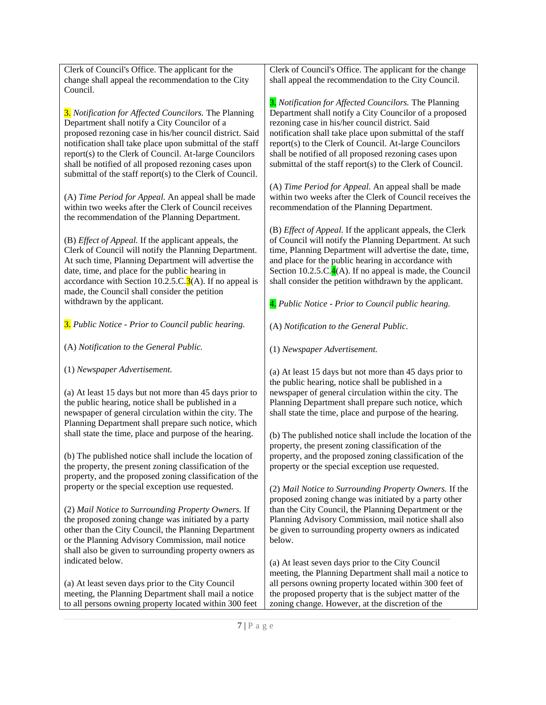| Clerk of Council's Office. The applicant for the<br>change shall appeal the recommendation to the City<br>Council.                                                                                     | Clerk of Council's Office. The applicant for the change<br>shall appeal the recommendation to the City Council.                                                                                                                                                                           |
|--------------------------------------------------------------------------------------------------------------------------------------------------------------------------------------------------------|-------------------------------------------------------------------------------------------------------------------------------------------------------------------------------------------------------------------------------------------------------------------------------------------|
| 3. Notification for Affected Councilors. The Planning                                                                                                                                                  | 3. Notification for Affected Councilors. The Planning                                                                                                                                                                                                                                     |
| Department shall notify a City Councilor of a                                                                                                                                                          | Department shall notify a City Councilor of a proposed                                                                                                                                                                                                                                    |
| proposed rezoning case in his/her council district. Said                                                                                                                                               | rezoning case in his/her council district. Said                                                                                                                                                                                                                                           |
| notification shall take place upon submittal of the staff                                                                                                                                              | notification shall take place upon submittal of the staff                                                                                                                                                                                                                                 |
| report(s) to the Clerk of Council. At-large Councilors                                                                                                                                                 | report(s) to the Clerk of Council. At-large Councilors                                                                                                                                                                                                                                    |
| shall be notified of all proposed rezoning cases upon                                                                                                                                                  | shall be notified of all proposed rezoning cases upon                                                                                                                                                                                                                                     |
| submittal of the staff report(s) to the Clerk of Council.                                                                                                                                              | submittal of the staff report(s) to the Clerk of Council.                                                                                                                                                                                                                                 |
| (A) Time Period for Appeal. An appeal shall be made                                                                                                                                                    | (A) Time Period for Appeal. An appeal shall be made                                                                                                                                                                                                                                       |
| within two weeks after the Clerk of Council receives                                                                                                                                                   | within two weeks after the Clerk of Council receives the                                                                                                                                                                                                                                  |
| the recommendation of the Planning Department.                                                                                                                                                         | recommendation of the Planning Department.                                                                                                                                                                                                                                                |
| (B) <i>Effect of Appeal</i> . If the applicant appeals, the                                                                                                                                            | (B) Effect of Appeal. If the applicant appeals, the Clerk                                                                                                                                                                                                                                 |
| Clerk of Council will notify the Planning Department.                                                                                                                                                  | of Council will notify the Planning Department. At such                                                                                                                                                                                                                                   |
| At such time, Planning Department will advertise the                                                                                                                                                   | time, Planning Department will advertise the date, time,                                                                                                                                                                                                                                  |
| date, time, and place for the public hearing in                                                                                                                                                        | and place for the public hearing in accordance with                                                                                                                                                                                                                                       |
| accordance with Section 10.2.5.C. $\overline{3}(A)$ . If no appeal is                                                                                                                                  | Section 10.2.5.C.4(A). If no appeal is made, the Council                                                                                                                                                                                                                                  |
| made, the Council shall consider the petition                                                                                                                                                          | shall consider the petition withdrawn by the applicant.                                                                                                                                                                                                                                   |
| withdrawn by the applicant.                                                                                                                                                                            | 4. Public Notice - Prior to Council public hearing.                                                                                                                                                                                                                                       |
| <b>3.</b> Public Notice - Prior to Council public hearing.                                                                                                                                             | (A) Notification to the General Public.                                                                                                                                                                                                                                                   |
| (A) Notification to the General Public.                                                                                                                                                                | (1) Newspaper Advertisement.                                                                                                                                                                                                                                                              |
| (1) Newspaper Advertisement.<br>(a) At least 15 days but not more than 45 days prior to<br>the public hearing, notice shall be published in a<br>newspaper of general circulation within the city. The | (a) At least 15 days but not more than 45 days prior to<br>the public hearing, notice shall be published in a<br>newspaper of general circulation within the city. The<br>Planning Department shall prepare such notice, which<br>shall state the time, place and purpose of the hearing. |
| Planning Department shall prepare such notice, which                                                                                                                                                   | (b) The published notice shall include the location of the                                                                                                                                                                                                                                |
| shall state the time, place and purpose of the hearing.                                                                                                                                                | property, the present zoning classification of the                                                                                                                                                                                                                                        |
| (b) The published notice shall include the location of                                                                                                                                                 | property, and the proposed zoning classification of the                                                                                                                                                                                                                                   |
| the property, the present zoning classification of the                                                                                                                                                 | property or the special exception use requested.                                                                                                                                                                                                                                          |
| property, and the proposed zoning classification of the                                                                                                                                                | (2) Mail Notice to Surrounding Property Owners. If the                                                                                                                                                                                                                                    |
| property or the special exception use requested.                                                                                                                                                       | proposed zoning change was initiated by a party other                                                                                                                                                                                                                                     |
| (2) Mail Notice to Surrounding Property Owners. If                                                                                                                                                     | than the City Council, the Planning Department or the                                                                                                                                                                                                                                     |
| the proposed zoning change was initiated by a party                                                                                                                                                    | Planning Advisory Commission, mail notice shall also                                                                                                                                                                                                                                      |
| other than the City Council, the Planning Department                                                                                                                                                   | be given to surrounding property owners as indicated                                                                                                                                                                                                                                      |
| or the Planning Advisory Commission, mail notice                                                                                                                                                       | below.                                                                                                                                                                                                                                                                                    |
| shall also be given to surrounding property owners as                                                                                                                                                  | (a) At least seven days prior to the City Council                                                                                                                                                                                                                                         |
| indicated below.                                                                                                                                                                                       | meeting, the Planning Department shall mail a notice to                                                                                                                                                                                                                                   |
| (a) At least seven days prior to the City Council                                                                                                                                                      | all persons owning property located within 300 feet of                                                                                                                                                                                                                                    |
| meeting, the Planning Department shall mail a notice                                                                                                                                                   | the proposed property that is the subject matter of the                                                                                                                                                                                                                                   |
| to all persons owning property located within 300 feet                                                                                                                                                 | zoning change. However, at the discretion of the                                                                                                                                                                                                                                          |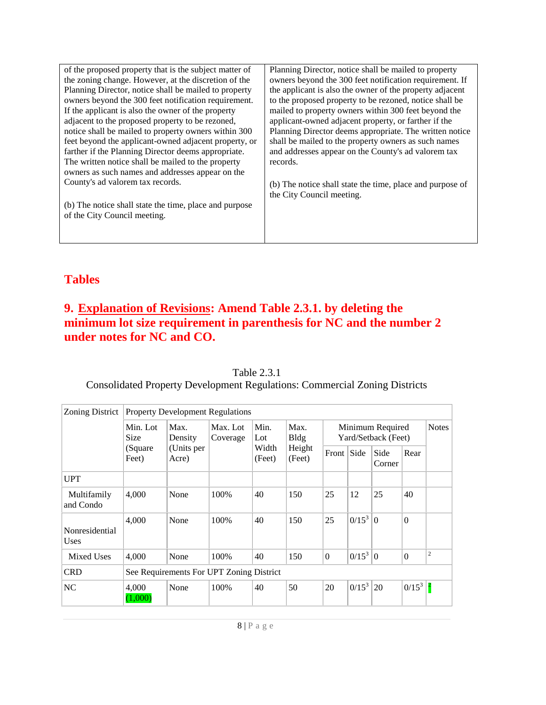| of the proposed property that is the subject matter of | Planning Director, notice shall be mailed to property     |
|--------------------------------------------------------|-----------------------------------------------------------|
| the zoning change. However, at the discretion of the   | owners beyond the 300 feet notification requirement. If   |
| Planning Director, notice shall be mailed to property  | the applicant is also the owner of the property adjacent  |
| owners beyond the 300 feet notification requirement.   | to the proposed property to be rezoned, notice shall be   |
| If the applicant is also the owner of the property     | mailed to property owners within 300 feet beyond the      |
| adjacent to the proposed property to be rezoned,       | applicant-owned adjacent property, or farther if the      |
| notice shall be mailed to property owners within 300   | Planning Director deems appropriate. The written notice   |
| feet beyond the applicant-owned adjacent property, or  | shall be mailed to the property owners as such names      |
| farther if the Planning Director deems appropriate.    | and addresses appear on the County's ad valorem tax       |
| The written notice shall be mailed to the property     | records.                                                  |
| owners as such names and addresses appear on the       |                                                           |
| County's ad valorem tax records.                       | (b) The notice shall state the time, place and purpose of |
|                                                        | the City Council meeting.                                 |
| (b) The notice shall state the time, place and purpose |                                                           |
| of the City Council meeting.                           |                                                           |
|                                                        |                                                           |
|                                                        |                                                           |
|                                                        |                                                           |

### **Tables**

### **9. Explanation of Revisions: Amend Table 2.3.1. by deleting the minimum lot size requirement in parenthesis for NC and the number 2 under notes for NC and CO.**

| Zoning District               | <b>Property Development Regulations</b>                                                             |                     |                                         |                 |                  |            |              |                |                  |                |
|-------------------------------|-----------------------------------------------------------------------------------------------------|---------------------|-----------------------------------------|-----------------|------------------|------------|--------------|----------------|------------------|----------------|
|                               | Min.<br>Max.<br>Max. Lot<br>Max.<br>Min. Lot<br>Size<br>Bldg<br>$_{\rm Lot}$<br>Density<br>Coverage |                     | Minimum Required<br>Yard/Setback (Feet) |                 |                  |            | <b>Notes</b> |                |                  |                |
|                               | (Square)<br>Feet)                                                                                   | (Units per<br>Acre) |                                         | Width<br>(Feet) | Height<br>(Feet) | Front Side |              | Side<br>Corner | Rear             |                |
| <b>UPT</b>                    |                                                                                                     |                     |                                         |                 |                  |            |              |                |                  |                |
| Multifamily<br>and Condo      | 4,000                                                                                               | None                | 100%                                    | 40              | 150              | 25         | 12           | 25             | 40               |                |
| Nonresidential<br><b>Uses</b> | 4,000                                                                                               | None                | 100%                                    | 40              | 150              | 25         | $0/15^3$     | $\overline{0}$ | $\mathbf{0}$     |                |
| Mixed Uses                    | 4,000                                                                                               | None                | 100%                                    | 40              | 150              | $\Omega$   | $0/15^3$ 0   |                | $\boldsymbol{0}$ | $\overline{c}$ |
| <b>CRD</b>                    | See Requirements For UPT Zoning District                                                            |                     |                                         |                 |                  |            |              |                |                  |                |
| NC                            | 4,000<br>1,000                                                                                      | None                | 100%                                    | 40              | 50               | 20         | $0/15^3$     | 20             | $0/15^3$         |                |

Table 2.3.1

Consolidated Property Development Regulations: Commercial Zoning Districts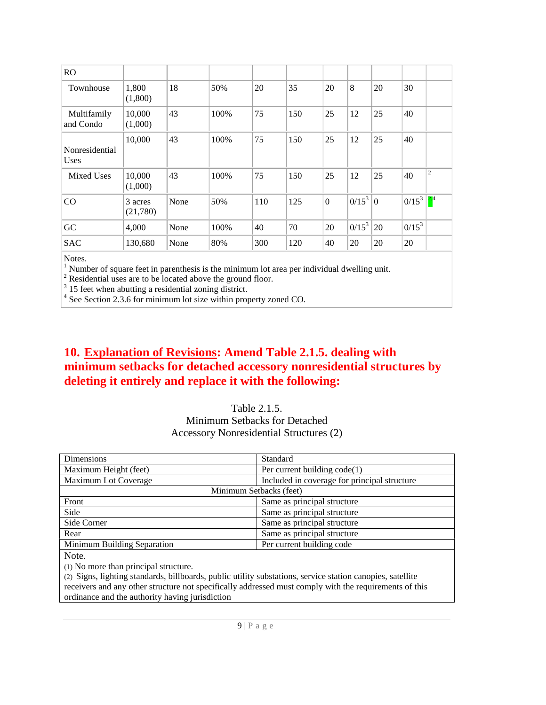| <b>RO</b>                     |                     |      |       |     |     |          |          |                |          |                                |
|-------------------------------|---------------------|------|-------|-----|-----|----------|----------|----------------|----------|--------------------------------|
| Townhouse                     | 1,800<br>(1,800)    | 18   | 50%   | 20  | 35  | 20       | 8        | 20             | 30       |                                |
| Multifamily<br>and Condo      | 10,000<br>(1,000)   | 43   | 100%  | 75  | 150 | 25       | 12       | 25             | 40       |                                |
| Nonresidential<br><b>Uses</b> | 10,000              | 43   | 100\% | 75  | 150 | 25       | 12       | 25             | 40       |                                |
| Mixed Uses                    | 10,000<br>(1,000)   | 43   | 100%  | 75  | 150 | 25       | 12       | 25             | 40       | $\overline{c}$                 |
| CO                            | 3 acres<br>(21,780) | None | 50%   | 110 | 125 | $\Omega$ | $0/15^3$ | $\overline{0}$ | $0/15^3$ | $\left  \frac{2,4}{4} \right $ |
| GC                            | 4,000               | None | 100%  | 40  | 70  | 20       | $0/15^3$ | 20             | $0/15^3$ |                                |
| <b>SAC</b>                    | 130,680             | None | 80%   | 300 | 120 | 40       | 20       | 20             | 20       |                                |

Notes.

<sup>1</sup> Number of square feet in parenthesis is the minimum lot area per individual dwelling unit.

<sup>2</sup> Residential uses are to be located above the ground floor.

 $3$  15 feet when abutting a residential zoning district.

4 See Section 2.3.6 for minimum lot size within property zoned CO.

### **10. Explanation of Revisions: Amend Table 2.1.5. dealing with minimum setbacks for detached accessory nonresidential structures by deleting it entirely and replace it with the following:**

### Table 2.1.5. Minimum Setbacks for Detached Accessory Nonresidential Structures (2)

| <b>Dimensions</b>           | Standard                                     |  |  |  |  |  |  |  |
|-----------------------------|----------------------------------------------|--|--|--|--|--|--|--|
| Maximum Height (feet)       | Per current building $code(1)$               |  |  |  |  |  |  |  |
| Maximum Lot Coverage        | Included in coverage for principal structure |  |  |  |  |  |  |  |
|                             | Minimum Setbacks (feet)                      |  |  |  |  |  |  |  |
| Front                       | Same as principal structure                  |  |  |  |  |  |  |  |
| Side                        | Same as principal structure                  |  |  |  |  |  |  |  |
| Side Corner                 | Same as principal structure                  |  |  |  |  |  |  |  |
| Rear                        | Same as principal structure                  |  |  |  |  |  |  |  |
| Minimum Building Separation | Per current building code                    |  |  |  |  |  |  |  |
| Note.                       |                                              |  |  |  |  |  |  |  |

() No more than principal structure.

(2) Signs, lighting standards, billboards, public utility substations, service station canopies, satellite receivers and any other structure not specifically addressed must comply with the requirements of this ordinance and the authority having jurisdiction